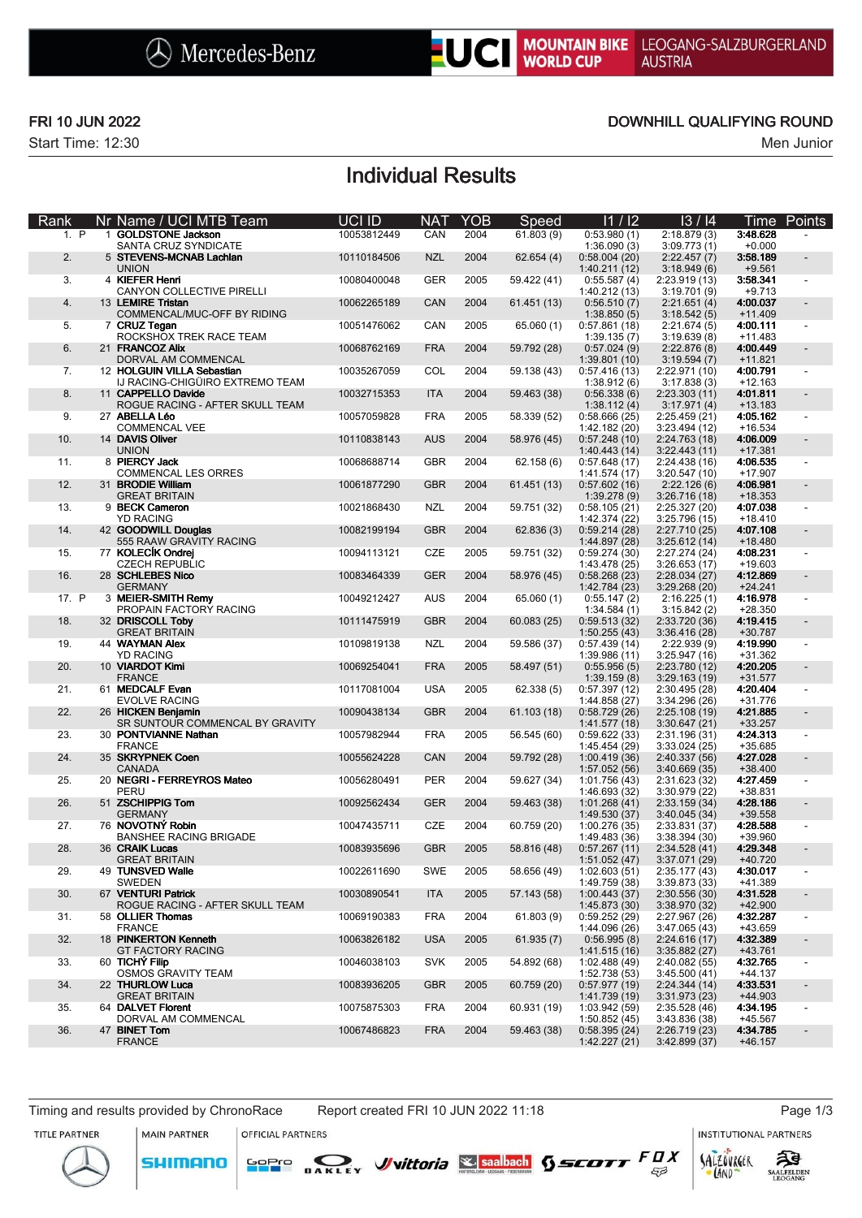

Start Time: 12:30 Men Junior

## FRI 10 JUN 2022 DOWNHILL QUALIFYING ROUND

# Individual Results

| Rank  | Nr Name / UCI MTB Team                                | UCI ID      | <b>NAT</b> | <b>YOB</b> | Speed       | 11/12                          | 13/14                          | Time                  | Points                   |
|-------|-------------------------------------------------------|-------------|------------|------------|-------------|--------------------------------|--------------------------------|-----------------------|--------------------------|
| 1. P  | 1 GOLDSTONE Jackson<br>SANTA CRUZ SYNDICATE           | 10053812449 | CAN        | 2004       | 61.803(9)   | 0:53.980(1)<br>1:36.090(3)     | 2:18.879(3)<br>3:09.773(1)     | 3:48.628<br>$+0.000$  |                          |
| 2.    | 5 STEVENS-MCNAB Lachlan<br><b>UNION</b>               | 10110184506 | <b>NZL</b> | 2004       | 62.654 (4)  | 0:58.004(20)<br>1:40.211(12)   | 2:22.457(7)<br>3:18.949(6)     | 3:58.189<br>$+9.561$  |                          |
| 3.    | 4 KIEFER Henri<br>CANYON COLLECTIVE PIRELLI           | 10080400048 | <b>GER</b> | 2005       | 59.422 (41) | 0:55.587(4)<br>1:40.212 (13)   | 2:23.919(13)<br>3:19.701(9)    | 3:58.341<br>$+9.713$  |                          |
| 4.    | 13 LEMIRE Tristan<br>COMMENCAL/MUC-OFF BY RIDING      | 10062265189 | CAN        | 2004       | 61.451 (13) | 0:56.510(7)<br>1:38.850(5)     | 2:21.651(4)<br>3:18.542(5)     | 4:00.037<br>$+11.409$ |                          |
| 5.    | 7 CRUZ Tegan<br>ROCKSHOX TREK RACE TEAM               | 10051476062 | CAN        | 2005       | 65.060 (1)  | 0:57.861(18)                   | 2:21.674(5)                    | 4:00.111<br>$+11.483$ |                          |
| 6.    | 21 FRANCOZ Alix                                       | 10068762169 | <b>FRA</b> | 2004       | 59.792 (28) | 1:39.135(7)<br>0:57.024(9)     | 3:19.639(8)<br>2:22.876(8)     | 4:00.449              |                          |
| 7.    | DORVAL AM COMMENCAL<br>12 HOLGUIN VILLA Sebastian     | 10035267059 | COL        | 2004       | 59.138 (43) | 1:39.801(10)<br>0:57.416(13)   | 3:19.594(7)<br>2:22.971 (10)   | $+11.821$<br>4:00.791 |                          |
| 8.    | IJ RACING-CHIGÜIRO EXTREMO TEAM<br>11 CAPPELLO Davide | 10032715353 | <b>ITA</b> | 2004       | 59.463 (38) | 1:38.912(6)<br>0:56.338(6)     | 3:17.838(3)<br>2:23.303(11)    | $+12.163$<br>4:01.811 |                          |
| 9.    | ROGUE RACING - AFTER SKULL TEAM<br>27 ABELLA Léo      | 10057059828 | <b>FRA</b> | 2005       | 58.339 (52) | 1:38.112(4)<br>0:58.666(25)    | 3:17.971(4)<br>2:25.459(21)    | $+13.183$<br>4:05.162 | $\overline{\phantom{a}}$ |
| 10.   | COMMENCAL VEE<br>14 DAVIS Oliver                      | 10110838143 | <b>AUS</b> | 2004       | 58.976 (45) | 1:42.182 (20)<br>0:57.248(10)  | 3:23.494(12)<br>2:24.763 (18)  | $+16.534$<br>4:06.009 |                          |
| 11.   | <b>UNION</b><br>8 PIERCY Jack                         | 10068688714 | <b>GBR</b> | 2004       | 62.158(6)   | 1:40.443(14)<br>0:57.648(17)   | 3:22.443(11)<br>2:24.438 (16)  | $+17.381$<br>4:06.535 |                          |
| 12.   | COMMENCAL LES ORRES<br>31 BRODIE William              | 10061877290 | <b>GBR</b> | 2004       | 61.451 (13) | 1:41.574 (17)<br>0:57.602(16)  | 3:20.547(10)<br>2:22.126(6)    | $+17.907$<br>4:06.981 |                          |
| 13.   | <b>GREAT BRITAIN</b><br>9 BECK Cameron                | 10021868430 | <b>NZL</b> | 2004       | 59.751 (32) | 1:39.278(9)<br>0:58.105(21)    | 3:26.716(18)<br>2:25.327 (20)  | $+18.353$<br>4:07.038 |                          |
| 14.   | <b>YD RACING</b><br>42 GOODWILL Douglas               | 10082199194 | <b>GBR</b> | 2004       | 62.836(3)   | 1:42.374 (22)<br>0:59.214(28)  | 3:25.796(15)<br>2:27.710 (25)  | $+18.410$<br>4:07.108 |                          |
| 15.   | 555 RAAW GRAVITY RACING<br>77 KOLECIK Ondrej          | 10094113121 | CZE        | 2005       | 59.751 (32) | 1:44.897 (28)<br>0:59.274(30)  | 3:25.612(14)<br>2:27.274 (24)  | $+18.480$<br>4:08.231 |                          |
|       | <b>CZECH REPUBLIC</b><br>28 SCHLEBES Nico             |             | <b>GER</b> | 2004       |             | 1:43.478 (25)                  | 3:26.653(17)<br>2:28.034(27)   | +19.603<br>4:12.869   |                          |
| 16.   | <b>GERMANY</b>                                        | 10083464339 |            |            | 58.976 (45) | 0:58.268(23)<br>1:42.784 (23)  | 3:29.268(20)                   | $+24.241$             |                          |
| 17. P | 3 MEIER-SMITH Remy<br>PROPAIN FACTORY RACING          | 10049212427 | <b>AUS</b> | 2004       | 65.060 (1)  | 0:55.147(2)<br>1:34.584(1)     | 2:16.225(1)<br>3:15.842(2)     | 4:16.978<br>$+28.350$ |                          |
| 18.   | 32 DRISCOLL Toby<br><b>GREAT BRITAIN</b>              | 10111475919 | <b>GBR</b> | 2004       | 60.083 (25) | 0:59.513(32)<br>1:50.255(43)   | 2:33.720 (36)<br>3:36.416(28)  | 4:19.415<br>+30.787   |                          |
| 19.   | 44 WAYMAN Alex<br><b>YD RACING</b>                    | 10109819138 | NZL        | 2004       | 59.586 (37) | 0:57.439(14)<br>1:39.986 (11)  | 2:22.939(9)<br>3:25.947(16)    | 4:19.990<br>+31.362   | $\blacksquare$           |
| 20.   | 10 VIARDOT Kimi<br><b>FRANCE</b>                      | 10069254041 | <b>FRA</b> | 2005       | 58.497 (51) | 0:55.956(5)<br>1:39.159(8)     | 2:23.780 (12)<br>3:29.163(19)  | 4:20.205<br>$+31.577$ |                          |
| 21.   | 61 MEDCALF Evan<br><b>EVOLVE RACING</b>               | 10117081004 | <b>USA</b> | 2005       | 62.338 (5)  | 0:57.397(12)<br>1:44.858 (27)  | 2:30.495(28)<br>3:34.296(26)   | 4:20.404<br>$+31.776$ |                          |
| 22.   | 26 HICKEN Benjamin<br>SR SUNTOUR COMMENCAL BY GRAVITY | 10090438134 | <b>GBR</b> | 2004       | 61.103 (18) | 0:58.729(26)<br>1:41.577 (18)  | 2:25.108(19)<br>3:30.647(21)   | 4:21.885<br>$+33.257$ |                          |
| 23.   | 30 PONTVIANNE Nathan<br><b>FRANCE</b>                 | 10057982944 | <b>FRA</b> | 2005       | 56.545 (60) | 0:59.622(33)<br>1:45.454 (29)  | 2:31.196 (31)<br>3:33.024(25)  | 4:24.313<br>+35.685   | $\blacksquare$           |
| 24.   | 35 SKRYPNEK Coen<br><b>CANADA</b>                     | 10055624228 | CAN        | 2004       | 59.792 (28) | 1:00.419(36)<br>1:57.052 (56)  | 2:40.337 (56)<br>3:40.669(35)  | 4:27.028<br>$+38.400$ |                          |
| 25.   | 20 NEGRI - FERREYROS Mateo<br>PERU                    | 10056280491 | <b>PER</b> | 2004       | 59.627 (34) | 1:01.756 (43)<br>1:46.693 (32) | 2:31.623 (32)<br>3:30.979 (22) | 4:27.459<br>+38.831   |                          |
| 26.   | 51 ZSCHIPPIG Tom<br><b>GERMANY</b>                    | 10092562434 | <b>GER</b> | 2004       | 59.463 (38) | 1:01.268(41)<br>1:49.530 (37)  | 2:33.159(34)<br>3:40.045(34)   | 4:28.186<br>+39.558   |                          |
| 27.   | 76 NOVOTNÝ Robin<br><b>BANSHEE RACING BRIGADE</b>     | 10047435711 | CZE        | 2004       | 60.759 (20) | 1:00.276 (35)                  | 2:33.831 (37)                  | 4:28.588<br>+39.960   |                          |
| 28.   | 36 CRAIK Lucas                                        | 10083935696 | <b>GBR</b> | 2005       | 58.816 (48) | 1:49.483 (36)<br>0:57.267(11)  | 3:38.394(30)<br>2:34.528(41)   | 4:29.348              |                          |
| 29.   | <b>GREAT BRITAIN</b><br>49 TUNSVED Walle              | 10022611690 | <b>SWE</b> | 2005       | 58.656 (49) | 1:51.052(47)<br>1:02.603(51)   | 3:37.071 (29)<br>2:35.177(43)  | +40.720<br>4:30.017   |                          |
| 30.   | SWEDEN<br>67 VENTURI Patrick                          | 10030890541 | <b>ITA</b> | 2005       | 57.143 (58) | 1:49.759 (38)<br>1:00.443(37)  | 3:39.873 (33)<br>2:30.556(30)  | +41.389<br>4:31.528   |                          |
| 31.   | ROGUE RACING - AFTER SKULL TEAM<br>58 OLLIER Thomas   | 10069190383 | <b>FRA</b> | 2004       | 61.803(9)   | 1:45.873 (30)<br>0:59.252(29)  | 3:38.970 (32)<br>2:27.967 (26) | $+42.900$<br>4:32.287 | $\overline{\phantom{a}}$ |
| 32.   | <b>FRANCE</b><br>18 PINKERTON Kenneth                 | 10063826182 | <b>USA</b> | 2005       | 61.935(7)   | 1:44.096 (26)<br>0:56.995(8)   | 3:47.065 (43)<br>2:24.616(17)  | +43.659<br>4:32.389   | $\overline{\phantom{a}}$ |
| 33.   | <b>GT FACTORY RACING</b><br>60 TICHÝ Filip            | 10046038103 | <b>SVK</b> | 2005       | 54.892 (68) | 1:41.515 (16)<br>1:02.488 (49) | 3:35.882(27)<br>2:40.082(55)   | +43.761<br>4:32.765   |                          |
| 34.   | OSMOS GRAVITY TEAM<br>22 THURLOW Luca                 | 10083936205 | <b>GBR</b> | 2005       | 60.759 (20) | 1:52.738 (53)<br>0:57.977(19)  | 3:45.500(41)<br>2:24.344(14)   | $+44.137$<br>4:33.531 |                          |
| 35.   | <b>GREAT BRITAIN</b><br>64 DALVET Florent             | 10075875303 | FRA        | 2004       | 60.931 (19) | 1:41.739 (19)<br>1:03.942 (59) | 3:31.973(23)<br>2:35.528(46)   | +44.903<br>4:34.195   |                          |
| 36.   | DORVAL AM COMMENCAL<br>47 BINET Tom                   | 10067486823 | <b>FRA</b> | 2004       | 59.463 (38) | 1:50.852(45)<br>0:58.395(24)   | 3:43.836 (38)<br>2:26.719(23)  | +45.567<br>4:34.785   |                          |
|       | <b>FRANCE</b>                                         |             |            |            |             | 1:42.227(21)                   | 3:42.899(37)                   | $+46.157$             |                          |

Timing and results provided by ChronoRace Report created FRI 10 JUN 2022 11:18 Page 1/3

MAIN PARTNER

OFFICIAL PARTNERS

SOPIO DAKLEY Vittoria & saabach SSCOTT FUX

**INSTITUTIONAL PARTNERS** 

LAND

 $53$ 

TITLE PARTNER



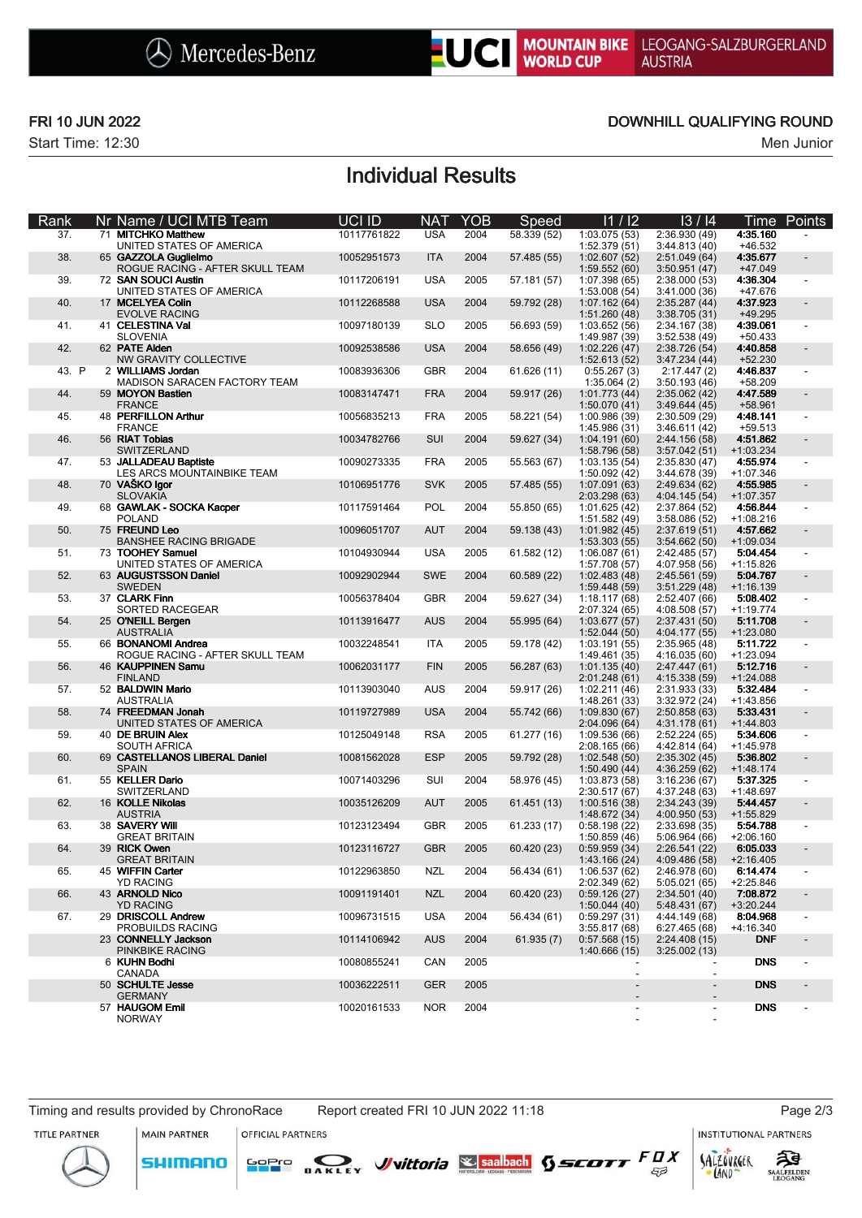

Start Time: 12:30 Men Junior

### FRI 10 JUN 2022 DOWNHILL QUALIFYING ROUND

## Individual Results

| Rank  | Nr Name / UCI MTB Team                                 | UCI ID      | <b>NAT</b> | <b>YOB</b> | Speed       | 11/12                          | 13/14                          |                         | Time Points    |
|-------|--------------------------------------------------------|-------------|------------|------------|-------------|--------------------------------|--------------------------------|-------------------------|----------------|
| 37.   | 71 MITCHKO Matthew<br>UNITED STATES OF AMERICA         | 10117761822 | <b>USA</b> | 2004       | 58.339 (52) | 1:03.075(53)<br>1:52.379 (51)  | 2:36.930 (49)<br>3:44.813 (40) | 4:35.160<br>+46.532     |                |
| 38.   | 65 GAZZOLA Guglielmo                                   | 10052951573 | <b>ITA</b> | 2004       | 57.485 (55) | 1:02.607(52)                   | 2:51.049(64)                   | 4:35.677                |                |
| 39.   | ROGUE RACING - AFTER SKULL TEAM<br>72 SAN SOUCI Austin | 10117206191 | <b>USA</b> | 2005       | 57.181 (57) | 1:59.552(60)<br>1:07.398 (65)  | 3:50.951(47)<br>2:38.000(53)   | +47.049<br>4:36.304     |                |
| 40.   | UNITED STATES OF AMERICA<br>17 MCELYEA Colin           | 10112268588 | <b>USA</b> | 2004       | 59.792 (28) | 1:53.008 (54)<br>1:07.162(64)  | 3:41.000(36)<br>2:35.287(44)   | +47.676<br>4:37.923     |                |
| 41.   | <b>EVOLVE RACING</b><br>41 CELESTINA Val               | 10097180139 | <b>SLO</b> | 2005       | 56.693 (59) | 1:51.260(48)<br>1:03.652(56)   | 3:38.705(31)<br>2:34.167 (38)  | +49.295<br>4:39.061     | $\blacksquare$ |
| 42.   | <b>SLOVENIA</b><br>62 PATE Alden                       | 10092538586 | <b>USA</b> | 2004       | 58.656 (49) | 1:49.987 (39)<br>1:02.226(47)  | 3:52.538 (49)<br>2:38.726 (54) | $+50.433$<br>4:40.858   |                |
| 43. P | NW GRAVITY COLLECTIVE<br>2 WILLIAMS Jordan             | 10083936306 | <b>GBR</b> | 2004       | 61.626 (11) | 1:52.613 (52)<br>0:55.267(3)   | 3:47.234(44)<br>2:17.447(2)    | $+52.230$<br>4:46.837   |                |
| 44.   | MADISON SARACEN FACTORY TEAM<br>59 MOYON Bastien       | 10083147471 | <b>FRA</b> | 2004       | 59.917 (26) | 1:35.064(2)<br>1:01.773 (44)   | 3:50.193(46)<br>2:35.062(42)   | $+58.209$<br>4:47.589   |                |
| 45.   | <b>FRANCE</b><br>48 PERFILLON Arthur                   |             | <b>FRA</b> | 2005       |             | 1:50.070(41)                   | 3:49.644(45)                   | +58.961<br>4:48.141     |                |
|       | <b>FRANCE</b>                                          | 10056835213 |            |            | 58.221 (54) | 1:00.986 (39)<br>1:45.986 (31) | 2:30.509(29)<br>3:46.611(42)   | $+59.513$               |                |
| 46.   | 56 RIAT Tobias<br>SWITZERLAND                          | 10034782766 | SUI        | 2004       | 59.627 (34) | 1:04.191(60)<br>1:58.796 (58)  | 2:44.156 (58)<br>3:57.042(51)  | 4:51.862<br>$+1:03.234$ |                |
| 47.   | 53 JALLADEAU Baptiste<br>LES ARCS MOUNTAINBIKE TEAM    | 10090273335 | <b>FRA</b> | 2005       | 55.563 (67) | 1:03.135(54)<br>1:50.092 (42)  | 2:35.830 (47)<br>3:44.678 (39) | 4:55.974<br>$+1:07.346$ |                |
| 48.   | 70 VASKO Igor<br><b>SLOVAKIA</b>                       | 10106951776 | <b>SVK</b> | 2005       | 57.485 (55) | 1:07.091 (63)<br>2:03.298 (63) | 2:49.634 (62)<br>4:04.145 (54) | 4:55.985<br>$+1:07.357$ |                |
| 49.   | 68 GAWLAK - SOCKA Kacper                               | 10117591464 | POL        | 2004       | 55.850 (65) | 1:01.625(42)                   | 2:37.864 (52)                  | 4:56.844                |                |
| 50.   | <b>POLAND</b><br>75 FREUND Leo                         | 10096051707 | <b>AUT</b> | 2004       | 59.138 (43) | 1:51.582 (49)<br>1:01.982(45)  | 3:58.086(52)<br>2:37.619(51)   | $+1:08.216$<br>4:57.662 |                |
| 51.   | <b>BANSHEE RACING BRIGADE</b><br>73 TOOHEY Samuel      | 10104930944 | <b>USA</b> | 2005       | 61.582 (12) | 1:53.303(55)<br>1:06.087(61)   | 3:54.662(50)<br>2:42.485 (57)  | $+1:09.034$<br>5:04.454 |                |
| 52.   | UNITED STATES OF AMERICA<br>63 AUGUSTSSON Daniel       | 10092902944 | <b>SWE</b> | 2004       | 60.589 (22) | 1:57.708 (57)<br>1:02.483(48)  | 4:07.958 (56)<br>2:45.561 (59) | $+1:15.826$<br>5:04.767 |                |
|       | <b>SWEDEN</b><br>37 CLARK Finn                         |             | <b>GBR</b> | 2004       |             | 1:59.448 (59)                  | 3:51.229(48)                   | $+1:16.139$             |                |
| 53.   | SORTED RACEGEAR                                        | 10056378404 |            |            | 59.627 (34) | 1:18.117(68)<br>2:07.324 (65)  | 2:52.407 (66)<br>4:08.508 (57) | 5:08.402<br>$+1:19.774$ |                |
| 54.   | 25 O'NEILL Bergen<br><b>AUSTRALIA</b>                  | 10113916477 | <b>AUS</b> | 2004       | 55.995 (64) | 1:03.677(57)<br>1:52.044(50)   | 2:37.431 (50)<br>4:04.177 (55) | 5:11.708<br>$+1:23.080$ |                |
| 55.   | 66 BONANOMI Andrea<br>ROGUE RACING - AFTER SKULL TEAM  | 10032248541 | <b>ITA</b> | 2005       | 59.178 (42) | 1:03.191(55)<br>1:49.461(35)   | 2:35.965(48)<br>4:16.035 (60)  | 5:11.722<br>$+1:23.094$ |                |
| 56.   | 46 KAUPPINEN Samu<br><b>FINLAND</b>                    | 10062031177 | <b>FIN</b> | 2005       | 56.287 (63) | 1:01.135(40)<br>2:01.248(61)   | 2:47.447 (61)<br>4:15.338 (59) | 5:12.716<br>$+1:24.088$ |                |
| 57.   | 52 BALDWIN Mario<br><b>AUSTRALIA</b>                   | 10113903040 | <b>AUS</b> | 2004       | 59.917 (26) | 1:02.211(46)<br>1:48.261 (33)  | 2:31.933 (33)                  | 5:32.484<br>$+1:43.856$ |                |
| 58.   | 74 FREEDMAN Jonah                                      | 10119727989 | <b>USA</b> | 2004       | 55.742 (66) | 1:09.830(67)                   | 3:32.972 (24)<br>2:50.858(63)  | 5:33 431                |                |
| 59.   | UNITED STATES OF AMERICA<br>40 DE BRUIN Alex           | 10125049148 | <b>RSA</b> | 2005       | 61.277 (16) | 2:04.096 (64)<br>1:09.536 (66) | 4:31.178 (61)<br>2:52.224(65)  | $+1:44.803$<br>5:34.606 |                |
| 60.   | <b>SOUTH AFRICA</b><br>69 CASTELLANOS LIBERAL Daniel   | 10081562028 | <b>ESP</b> | 2005       | 59.792 (28) | 2:08.165(66)<br>1:02.548(50)   | 4:42.814 (64)<br>2:35.302(45)  | $+1:45.978$<br>5:36.802 |                |
| 61.   | <b>SPAIN</b><br>55 KELLER Dario                        | 10071403296 | SUI        | 2004       | 58.976 (45) | 1:50.490(44)<br>1:03.873 (58)  | 4:36.259 (62)<br>3:16.236(67)  | $+1:48.174$<br>5:37.325 |                |
|       | SWITZERLAND                                            |             |            |            |             | 2:30.517 (67)                  | 4:37.248 (63)                  | $+1:48.697$             |                |
| 62.   | 16 KOLLE Nikolas<br><b>AUSTRIA</b>                     | 10035126209 | <b>AUT</b> | 2005       | 61.451 (13) | 1:00.516 (38)<br>1:48.672 (34) | 2:34.243 (39)<br>4:00.950 (53) | 5:44.457<br>+1:55.829   |                |
| 63.   | 38 SAVERY Will<br><b>GREAT BRITAIN</b>                 | 10123123494 | <b>GBR</b> | 2005       | 61.233 (17) | 0:58.198(22)<br>1:50.859(46)   | 2:33.698 (35)<br>5:06.964(66)  | 5:54.788<br>$+2:06.160$ |                |
| 64.   | 39 RICK Owen<br><b>GREAT BRITAIN</b>                   | 10123116727 | <b>GBR</b> | 2005       | 60.420 (23) | 0:59.959(34)<br>1:43.166(24)   | 2:26.541(22)<br>4:09.486(58)   | 6:05.033<br>$+2:16.405$ |                |
| 65.   | 45 WIFFIN Carter<br><b>YD RACING</b>                   | 10122963850 | NZL        | 2004       | 56.434 (61) | 1:06.537(62)<br>2:02.349 (62)  | 2:46.978 (60)<br>5:05.021(65)  | 6:14.474<br>$+2:25.846$ |                |
| 66.   | 43 ARNOLD Nico<br><b>YD RACING</b>                     | 10091191401 | <b>NZL</b> | 2004       | 60.420 (23) | 0:59.126(27)                   | 2:34.501(40)                   | 7:08.872<br>$+3:20.244$ |                |
| 67.   | 29 DRISCOLL Andrew                                     | 10096731515 | <b>USA</b> | 2004       | 56.434 (61) | 1:50.044(40)<br>0:59.297(31)   | 5:48.431 (67)<br>4:44.149 (68) | 8:04.968                |                |
|       | PROBUILDS RACING<br>23 CONNELLY Jackson                | 10114106942 | <b>AUS</b> | 2004       | 61.935(7)   | 3:55.817(68)<br>0:57.568(15)   | 6:27.465(68)<br>2:24.408(15)   | +4:16.340<br><b>DNF</b> |                |
|       | PINKBIKE RACING<br>6 KUHN Bodhi                        | 10080855241 | CAN        | 2005       |             | 1:40.666(15)                   | 3:25.002(13)                   | <b>DNS</b>              |                |
|       | CANADA<br>50 SCHULTE Jesse                             | 10036222511 | <b>GER</b> | 2005       |             | $\overline{\phantom{a}}$       | $\blacksquare$                 | <b>DNS</b>              |                |
|       | <b>GERMANY</b><br>57 HAUGOM Emil                       | 10020161533 | <b>NOR</b> | 2004       |             |                                | $\overline{\phantom{a}}$       | <b>DNS</b>              |                |
|       | <b>NORWAY</b>                                          |             |            |            |             |                                |                                |                         |                |

**SHIMANO** 

**MAIN PARTNER** OFFICIAL PARTNERS

SOPIO DAKLEY Vittoria & saabach SSCOTT FUX

LAND

 $53$